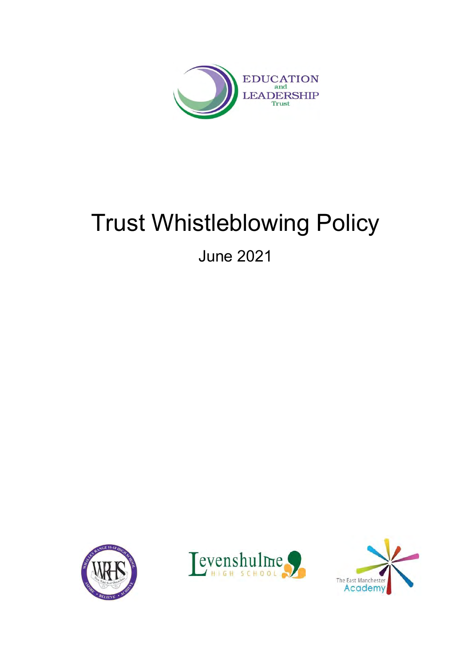

# Trust Whistleblowing Policy

June 2021





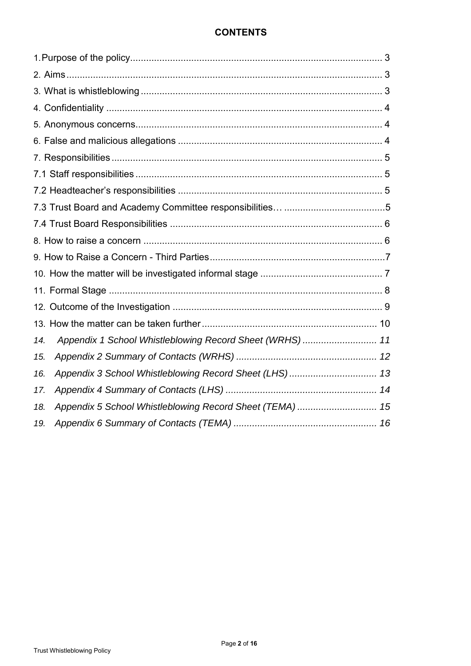## **CONTENTS**

| Appendix 1 School Whistleblowing Record Sheet (WRHS)  11<br>14. |  |
|-----------------------------------------------------------------|--|
| 15.                                                             |  |
| Appendix 3 School Whistleblowing Record Sheet (LHS)  13<br>16.  |  |
| 17.                                                             |  |
| Appendix 5 School Whistleblowing Record Sheet (TEMA)  15<br>18. |  |
| 19.                                                             |  |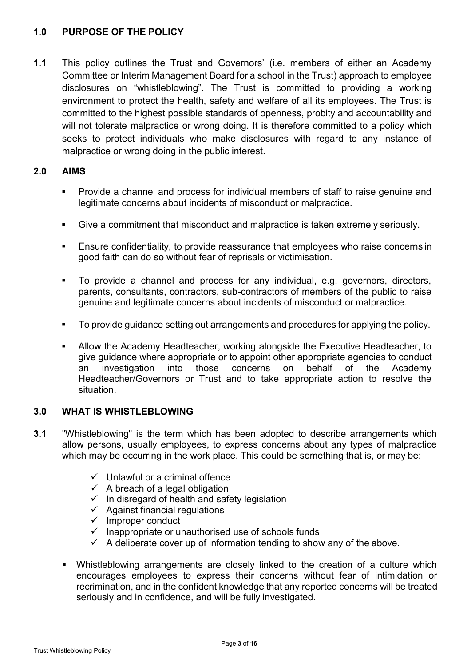## **1.0 PURPOSE OF THE POLICY**

**1.1** This policy outlines the Trust and Governors' (i.e. members of either an Academy Committee or Interim Management Board for a school in the Trust) approach to employee disclosures on "whistleblowing". The Trust is committed to providing a working environment to protect the health, safety and welfare of all its employees. The Trust is committed to the highest possible standards of openness, probity and accountability and will not tolerate malpractice or wrong doing. It is therefore committed to a policy which seeks to protect individuals who make disclosures with regard to any instance of malpractice or wrong doing in the public interest.

## **2.0 AIMS**

- Provide a channel and process for individual members of staff to raise genuine and legitimate concerns about incidents of misconduct or malpractice.
- Give a commitment that misconduct and malpractice is taken extremely seriously.
- Ensure confidentiality, to provide reassurance that employees who raise concerns in good faith can do so without fear of reprisals or victimisation.
- To provide a channel and process for any individual, e.g. governors, directors, parents, consultants, contractors, sub-contractors of members of the public to raise genuine and legitimate concerns about incidents of misconduct or malpractice.
- To provide guidance setting out arrangements and procedures for applying the policy.
- Allow the Academy Headteacher, working alongside the Executive Headteacher, to give guidance where appropriate or to appoint other appropriate agencies to conduct an investigation into those concerns on behalf of the Academy Headteacher/Governors or Trust and to take appropriate action to resolve the situation.

#### **3.0 WHAT IS WHISTLEBLOWING**

- **3.1** "Whistleblowing" is the term which has been adopted to describe arrangements which allow persons, usually employees, to express concerns about any types of malpractice which may be occurring in the work place. This could be something that is, or may be:
	- $\checkmark$  Unlawful or a criminal offence
	- $\checkmark$  A breach of a legal obligation
	- ✓ In disregard of health and safety legislation
	- $\checkmark$  Against financial regulations
	- ✓ Improper conduct
	- ✓ Inappropriate or unauthorised use of schools funds
	- $\checkmark$  A deliberate cover up of information tending to show any of the above.
	- **EXT** Whistleblowing arrangements are closely linked to the creation of a culture which encourages employees to express their concerns without fear of intimidation or recrimination, and in the confident knowledge that any reported concerns will be treated seriously and in confidence, and will be fully investigated.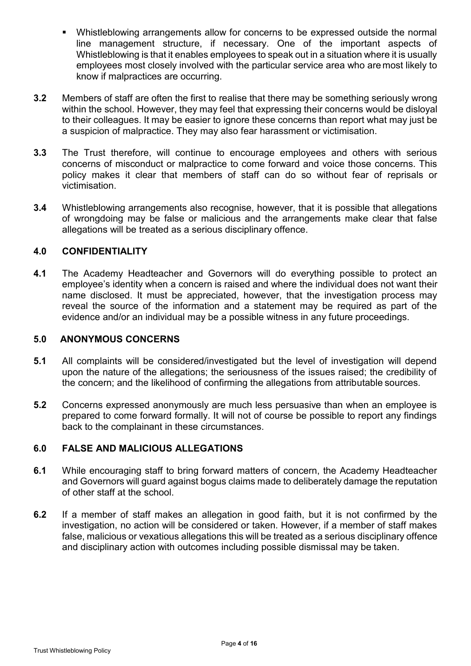- Whistleblowing arrangements allow for concerns to be expressed outside the normal line management structure, if necessary. One of the important aspects of Whistleblowing is that it enables employees to speak out in a situation where it is usually employees most closely involved with the particular service area who are most likely to know if malpractices are occurring.
- **3.2** Members of staff are often the first to realise that there may be something seriously wrong within the school. However, they may feel that expressing their concerns would be disloyal to their colleagues. It may be easier to ignore these concerns than report what may just be a suspicion of malpractice. They may also fear harassment or victimisation.
- **3.3** The Trust therefore, will continue to encourage employees and others with serious concerns of misconduct or malpractice to come forward and voice those concerns. This policy makes it clear that members of staff can do so without fear of reprisals or victimisation.
- **3.4** Whistleblowing arrangements also recognise, however, that it is possible that allegations of wrongdoing may be false or malicious and the arrangements make clear that false allegations will be treated as a serious disciplinary offence.

## **4.0 CONFIDENTIALITY**

**4.1** The Academy Headteacher and Governors will do everything possible to protect an employee's identity when a concern is raised and where the individual does not want their name disclosed. It must be appreciated, however, that the investigation process may reveal the source of the information and a statement may be required as part of the evidence and/or an individual may be a possible witness in any future proceedings.

#### **5.0 ANONYMOUS CONCERNS**

- **5.1** All complaints will be considered/investigated but the level of investigation will depend upon the nature of the allegations; the seriousness of the issues raised; the credibility of the concern; and the likelihood of confirming the allegations from attributable sources.
- **5.2** Concerns expressed anonymously are much less persuasive than when an employee is prepared to come forward formally. It will not of course be possible to report any findings back to the complainant in these circumstances.

#### **6.0 FALSE AND MALICIOUS ALLEGATIONS**

- **6.1** While encouraging staff to bring forward matters of concern, the Academy Headteacher and Governors will guard against bogus claims made to deliberately damage the reputation of other staff at the school.
- **6.2** If a member of staff makes an allegation in good faith, but it is not confirmed by the investigation, no action will be considered or taken. However, if a member of staff makes false, malicious or vexatious allegations this will be treated as a serious disciplinary offence and disciplinary action with outcomes including possible dismissal may be taken.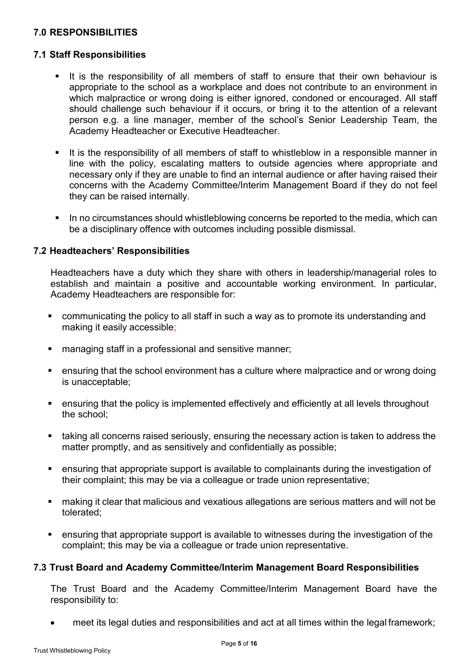## **7.0 RESPONSIBILITIES**

#### **7.1 Staff Responsibilities**

- It is the responsibility of all members of staff to ensure that their own behaviour is appropriate to the school as a workplace and does not contribute to an environment in which malpractice or wrong doing is either ignored, condoned or encouraged. All staff should challenge such behaviour if it occurs, or bring it to the attention of a relevant person e.g. a line manager, member of the school's Senior Leadership Team, the Academy Headteacher or Executive Headteacher.
- It is the responsibility of all members of staff to whistleblow in a responsible manner in line with the policy, escalating matters to outside agencies where appropriate and necessary only if they are unable to find an internal audience or after having raised their concerns with the Academy Committee/Interim Management Board if they do not feel they can be raised internally.
- In no circumstances should whistleblowing concerns be reported to the media, which can be a disciplinary offence with outcomes including possible dismissal.

#### **7.2 Headteachers' Responsibilities**

Headteachers have a duty which they share with others in leadership/managerial roles to establish and maintain a positive and accountable working environment. In particular, Academy Headteachers are responsible for:

- communicating the policy to all staff in such a way as to promote its understanding and making it easily accessible;
- managing staff in a professional and sensitive manner;
- ensuring that the school environment has a culture where malpractice and or wrong doing is unacceptable;
- ensuring that the policy is implemented effectively and efficiently at all levels throughout the school;
- taking all concerns raised seriously, ensuring the necessary action is taken to address the matter promptly, and as sensitively and confidentially as possible;
- ensuring that appropriate support is available to complainants during the investigation of their complaint; this may be via a colleague or trade union representative;
- making it clear that malicious and vexatious allegations are serious matters and will not be tolerated;
- ensuring that appropriate support is available to witnesses during the investigation of the complaint; this may be via a colleague or trade union representative.

#### **7.3 Trust Board and Academy Committee/Interim Management Board Responsibilities**

The Trust Board and the Academy Committee/Interim Management Board have the responsibility to:

• meet its legal duties and responsibilities and act at all times within the legal framework;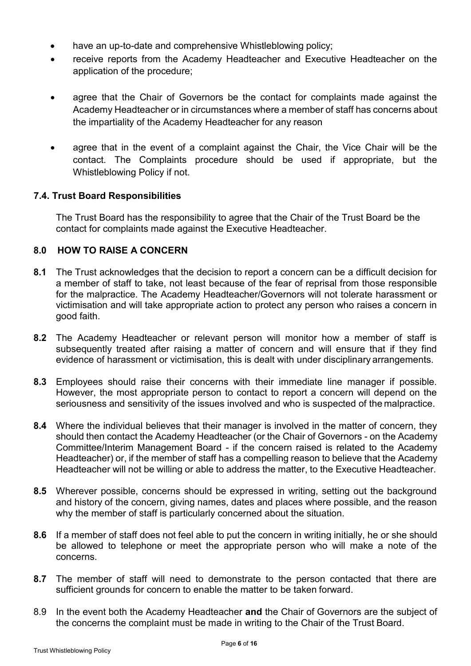- have an up-to-date and comprehensive Whistleblowing policy;
- receive reports from the Academy Headteacher and Executive Headteacher on the application of the procedure;
- agree that the Chair of Governors be the contact for complaints made against the Academy Headteacher or in circumstances where a member of staff has concerns about the impartiality of the Academy Headteacher for any reason
- agree that in the event of a complaint against the Chair, the Vice Chair will be the contact. The Complaints procedure should be used if appropriate, but the Whistleblowing Policy if not.

## **7.4. Trust Board Responsibilities**

The Trust Board has the responsibility to agree that the Chair of the Trust Board be the contact for complaints made against the Executive Headteacher.

## **8.0 HOW TO RAISE A CONCERN**

- **8.1** The Trust acknowledges that the decision to report a concern can be a difficult decision for a member of staff to take, not least because of the fear of reprisal from those responsible for the malpractice. The Academy Headteacher/Governors will not tolerate harassment or victimisation and will take appropriate action to protect any person who raises a concern in good faith.
- **8.2** The Academy Headteacher or relevant person will monitor how a member of staff is subsequently treated after raising a matter of concern and will ensure that if they find evidence of harassment or victimisation, this is dealt with under disciplinary arrangements.
- **8.3** Employees should raise their concerns with their immediate line manager if possible. However, the most appropriate person to contact to report a concern will depend on the seriousness and sensitivity of the issues involved and who is suspected of the malpractice.
- **8.4** Where the individual believes that their manager is involved in the matter of concern, they should then contact the Academy Headteacher (or the Chair of Governors - on the Academy Committee/Interim Management Board - if the concern raised is related to the Academy Headteacher) or, if the member of staff has a compelling reason to believe that the Academy Headteacher will not be willing or able to address the matter, to the Executive Headteacher.
- **8.5** Wherever possible, concerns should be expressed in writing, setting out the background and history of the concern, giving names, dates and places where possible, and the reason why the member of staff is particularly concerned about the situation.
- **8.6** If a member of staff does not feel able to put the concern in writing initially, he or she should be allowed to telephone or meet the appropriate person who will make a note of the concerns.
- **8.7** The member of staff will need to demonstrate to the person contacted that there are sufficient grounds for concern to enable the matter to be taken forward.
- 8.9 In the event both the Academy Headteacher **and** the Chair of Governors are the subject of the concerns the complaint must be made in writing to the Chair of the Trust Board.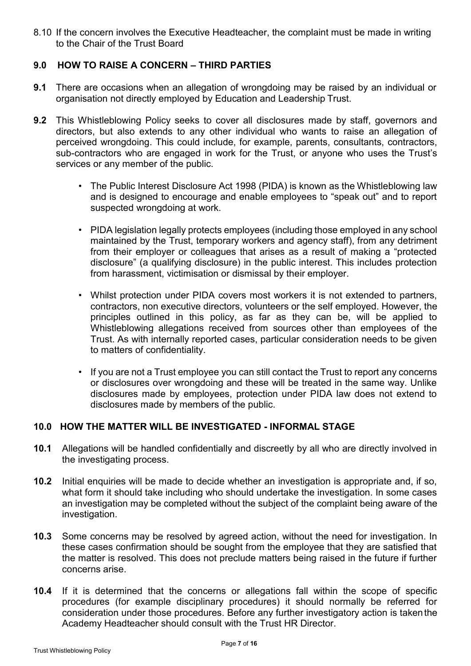8.10 If the concern involves the Executive Headteacher, the complaint must be made in writing to the Chair of the Trust Board

## **9.0 HOW TO RAISE A CONCERN – THIRD PARTIES**

- **9.1** There are occasions when an allegation of wrongdoing may be raised by an individual or organisation not directly employed by Education and Leadership Trust.
- **9.2** This Whistleblowing Policy seeks to cover all disclosures made by staff, governors and directors, but also extends to any other individual who wants to raise an allegation of perceived wrongdoing. This could include, for example, parents, consultants, contractors, sub-contractors who are engaged in work for the Trust, or anyone who uses the Trust's services or any member of the public.
	- The Public Interest Disclosure Act 1998 (PIDA) is known as the Whistleblowing law and is designed to encourage and enable employees to "speak out" and to report suspected wrongdoing at work.
	- PIDA legislation legally protects employees (including those employed in any school maintained by the Trust, temporary workers and agency staff), from any detriment from their employer or colleagues that arises as a result of making a "protected disclosure" (a qualifying disclosure) in the public interest. This includes protection from harassment, victimisation or dismissal by their employer.
	- Whilst protection under PIDA covers most workers it is not extended to partners, contractors, non executive directors, volunteers or the self employed. However, the principles outlined in this policy, as far as they can be, will be applied to Whistleblowing allegations received from sources other than employees of the Trust. As with internally reported cases, particular consideration needs to be given to matters of confidentiality.
	- If you are not a Trust employee you can still contact the Trust to report any concerns or disclosures over wrongdoing and these will be treated in the same way. Unlike disclosures made by employees, protection under PIDA law does not extend to disclosures made by members of the public.

#### **10.0 HOW THE MATTER WILL BE INVESTIGATED - INFORMAL STAGE**

- **10.1** Allegations will be handled confidentially and discreetly by all who are directly involved in the investigating process.
- **10.2** Initial enquiries will be made to decide whether an investigation is appropriate and, if so, what form it should take including who should undertake the investigation. In some cases an investigation may be completed without the subject of the complaint being aware of the investigation.
- **10.3** Some concerns may be resolved by agreed action, without the need for investigation. In these cases confirmation should be sought from the employee that they are satisfied that the matter is resolved. This does not preclude matters being raised in the future if further concerns arise.
- **10.4** If it is determined that the concerns or allegations fall within the scope of specific procedures (for example disciplinary procedures) it should normally be referred for consideration under those procedures. Before any further investigatory action is takenthe Academy Headteacher should consult with the Trust HR Director.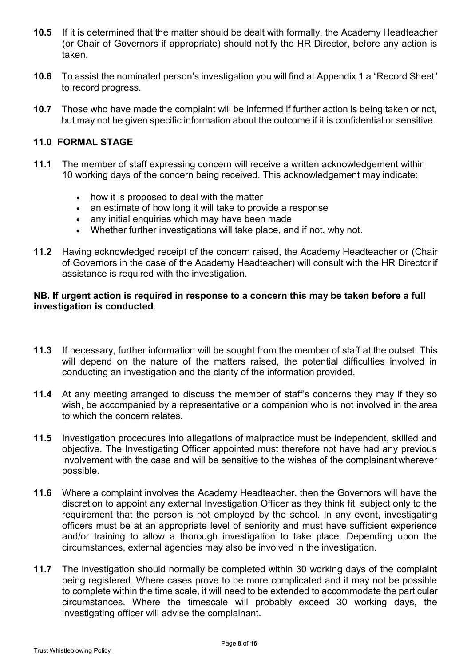- **10.5** If it is determined that the matter should be dealt with formally, the Academy Headteacher (or Chair of Governors if appropriate) should notify the HR Director, before any action is taken.
- **10.6** To assist the nominated person's investigation you will find at Appendix 1 a "Record Sheet" to record progress.
- **10.7** Those who have made the complaint will be informed if further action is being taken or not, but may not be given specific information about the outcome if it is confidential or sensitive.

#### **11.0 FORMAL STAGE**

- **11.1** The member of staff expressing concern will receive a written acknowledgement within 10 working days of the concern being received. This acknowledgement may indicate:
	- how it is proposed to deal with the matter
	- an estimate of how long it will take to provide a response
	- any initial enquiries which may have been made
	- Whether further investigations will take place, and if not, why not.
- **11.2** Having acknowledged receipt of the concern raised, the Academy Headteacher or (Chair of Governors in the case of the Academy Headteacher) will consult with the HR Director if assistance is required with the investigation.

#### **NB. If urgent action is required in response to a concern this may be taken before a full investigation is conducted**.

- **11.3** If necessary, further information will be sought from the member of staff at the outset. This will depend on the nature of the matters raised, the potential difficulties involved in conducting an investigation and the clarity of the information provided.
- **11.4** At any meeting arranged to discuss the member of staff's concerns they may if they so wish, be accompanied by a representative or a companion who is not involved in the area to which the concern relates.
- **11.5** Investigation procedures into allegations of malpractice must be independent, skilled and objective. The Investigating Officer appointed must therefore not have had any previous involvement with the case and will be sensitive to the wishes of the complainantwherever possible.
- **11.6** Where a complaint involves the Academy Headteacher, then the Governors will have the discretion to appoint any external Investigation Officer as they think fit, subject only to the requirement that the person is not employed by the school. In any event, investigating officers must be at an appropriate level of seniority and must have sufficient experience and/or training to allow a thorough investigation to take place. Depending upon the circumstances, external agencies may also be involved in the investigation.
- **11.7** The investigation should normally be completed within 30 working days of the complaint being registered. Where cases prove to be more complicated and it may not be possible to complete within the time scale, it will need to be extended to accommodate the particular circumstances. Where the timescale will probably exceed 30 working days, the investigating officer will advise the complainant.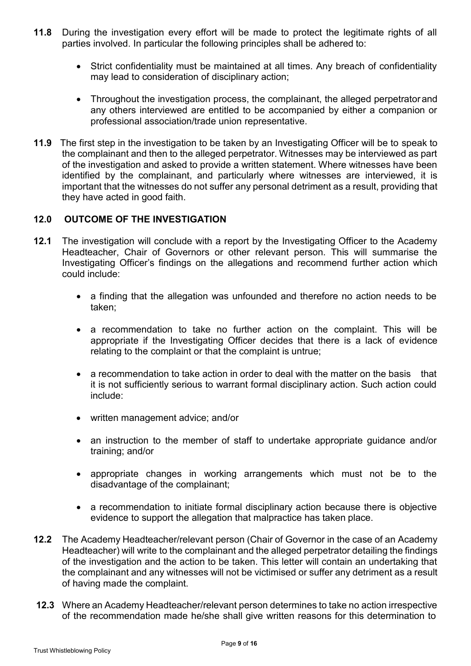- **11.8** During the investigation every effort will be made to protect the legitimate rights of all parties involved. In particular the following principles shall be adhered to:
	- Strict confidentiality must be maintained at all times. Any breach of confidentiality may lead to consideration of disciplinary action;
	- Throughout the investigation process, the complainant, the alleged perpetratorand any others interviewed are entitled to be accompanied by either a companion or professional association/trade union representative.
- **11.9** The first step in the investigation to be taken by an Investigating Officer will be to speak to the complainant and then to the alleged perpetrator. Witnesses may be interviewed as part of the investigation and asked to provide a written statement. Where witnesses have been identified by the complainant, and particularly where witnesses are interviewed, it is important that the witnesses do not suffer any personal detriment as a result, providing that they have acted in good faith.

## **12.0 OUTCOME OF THE INVESTIGATION**

- **12.1** The investigation will conclude with a report by the Investigating Officer to the Academy Headteacher, Chair of Governors or other relevant person. This will summarise the Investigating Officer's findings on the allegations and recommend further action which could include:
	- a finding that the allegation was unfounded and therefore no action needs to be taken;
	- a recommendation to take no further action on the complaint. This will be appropriate if the Investigating Officer decides that there is a lack of evidence relating to the complaint or that the complaint is untrue;
	- a recommendation to take action in order to deal with the matter on the basis that it is not sufficiently serious to warrant formal disciplinary action. Such action could include:
	- written management advice; and/or
	- an instruction to the member of staff to undertake appropriate guidance and/or training; and/or
	- appropriate changes in working arrangements which must not be to the disadvantage of the complainant;
	- a recommendation to initiate formal disciplinary action because there is objective evidence to support the allegation that malpractice has taken place.
- **12.2** The Academy Headteacher/relevant person (Chair of Governor in the case of an Academy Headteacher) will write to the complainant and the alleged perpetrator detailing the findings of the investigation and the action to be taken. This letter will contain an undertaking that the complainant and any witnesses will not be victimised or suffer any detriment as a result of having made the complaint.
- **12.3** Where an Academy Headteacher/relevant person determines to take no action irrespective of the recommendation made he/she shall give written reasons for this determination to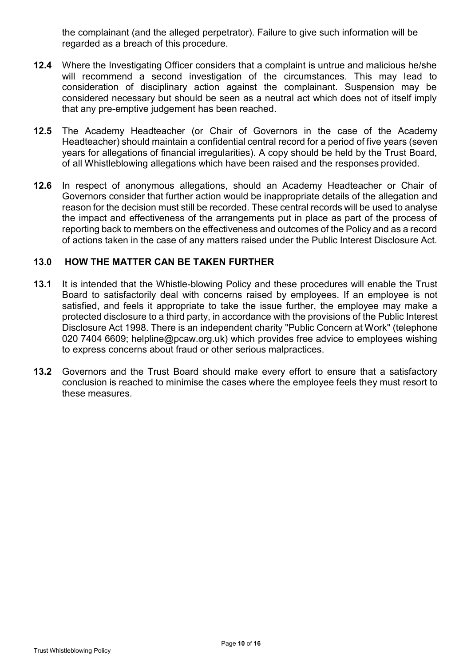the complainant (and the alleged perpetrator). Failure to give such information will be regarded as a breach of this procedure.

- **12.4** Where the Investigating Officer considers that a complaint is untrue and malicious he/she will recommend a second investigation of the circumstances. This may lead to consideration of disciplinary action against the complainant. Suspension may be considered necessary but should be seen as a neutral act which does not of itself imply that any pre-emptive judgement has been reached.
- **12.5** The Academy Headteacher (or Chair of Governors in the case of the Academy Headteacher) should maintain a confidential central record for a period of five years (seven years for allegations of financial irregularities). A copy should be held by the Trust Board, of all Whistleblowing allegations which have been raised and the responses provided.
- **12.6** In respect of anonymous allegations, should an Academy Headteacher or Chair of Governors consider that further action would be inappropriate details of the allegation and reason for the decision must still be recorded. These central records will be used to analyse the impact and effectiveness of the arrangements put in place as part of the process of reporting back to members on the effectiveness and outcomes of the Policy and as a record of actions taken in the case of any matters raised under the Public Interest Disclosure Act.

#### **13.0 HOW THE MATTER CAN BE TAKEN FURTHER**

- **13.1** It is intended that the Whistle-blowing Policy and these procedures will enable the Trust Board to satisfactorily deal with concerns raised by employees. If an employee is not satisfied, and feels it appropriate to take the issue further, the employee may make a protected disclosure to a third party, in accordance with the provisions of the Public Interest Disclosure Act 1998. There is an independent charity "Public Concern at Work" (telephone 020 7404 6609; helpline@pcaw.org.uk) which provides free advice to employees wishing to express concerns about fraud or other serious malpractices.
- **13.2** Governors and the Trust Board should make every effort to ensure that a satisfactory conclusion is reached to minimise the cases where the employee feels they must resort to these measures.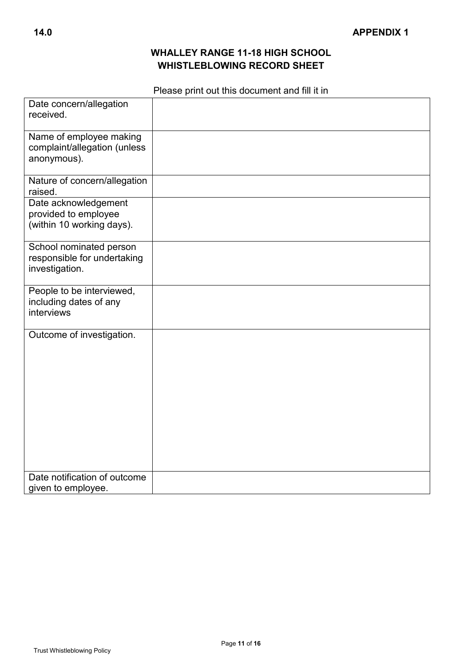## **WHALLEY RANGE 11-18 HIGH SCHOOL WHISTLEBLOWING RECORD SHEET**

## Please print out this document and fill it in

| Date concern/allegation<br>received.                                      |  |
|---------------------------------------------------------------------------|--|
| Name of employee making<br>complaint/allegation (unless<br>anonymous).    |  |
| Nature of concern/allegation<br>raised.                                   |  |
| Date acknowledgement<br>provided to employee<br>(within 10 working days). |  |
| School nominated person<br>responsible for undertaking<br>investigation.  |  |
| People to be interviewed,<br>including dates of any<br>interviews         |  |
| Outcome of investigation.                                                 |  |
| Date notification of outcome<br>given to employee.                        |  |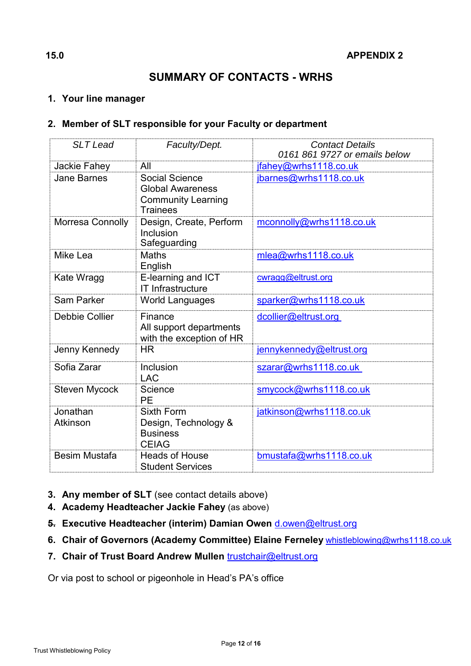# **SUMMARY OF CONTACTS - WRHS**

## **1. Your line manager**

## **2. Member of SLT responsible for your Faculty or department**

| <b>SLT</b> Lead      | Faculty/Dept.                                                                             | <b>Contact Details</b><br>0161 861 9727 or emails below |
|----------------------|-------------------------------------------------------------------------------------------|---------------------------------------------------------|
| Jackie Fahey         | All                                                                                       | jfahey@wrhs1118.co.uk                                   |
| <b>Jane Barnes</b>   | Social Science<br><b>Global Awareness</b><br><b>Community Learning</b><br><b>Trainees</b> | jbarnes@wrhs1118.co.uk                                  |
| Morresa Connolly     | Design, Create, Perform<br><b>Inclusion</b><br>Safeguarding                               | mconnolly@wrhs1118.co.uk                                |
| Mike Lea             | <b>Maths</b><br>English                                                                   | mlea@wrhs1118.co.uk                                     |
| Kate Wragg           | E-learning and ICT<br><b>IT Infrastructure</b>                                            | cwragg@eltrust.org                                      |
| Sam Parker           | <b>World Languages</b>                                                                    | sparker@wrhs1118.co.uk                                  |
| Debbie Collier       | Finance<br>All support departments<br>with the exception of HR                            | dcollier@eltrust.org                                    |
| Jenny Kennedy        | <b>HR</b>                                                                                 | jennykennedy@eltrust.org                                |
| Sofia Zarar          | Inclusion<br><b>LAC</b>                                                                   | szarar@wrhs1118.co.uk                                   |
| <b>Steven Mycock</b> | Science<br><b>PE</b>                                                                      | smycock@wrhs1118.co.uk                                  |
| Jonathan<br>Atkinson | <b>Sixth Form</b><br>Design, Technology &<br><b>Business</b><br><b>CEIAG</b>              | jatkinson@wrhs1118.co.uk                                |
| <b>Besim Mustafa</b> | <b>Heads of House</b><br><b>Student Services</b>                                          | bmustafa@wrhs1118.co.uk                                 |

- **3. Any member of SLT** (see contact details above)
- **4. Academy Headteacher Jackie Fahey** (as above)
- **5. Executive Headteacher (interim) Damian Owen** [d.owen@eltrust.org](mailto:d.owen@eltrust.org)
- **6. Chair of Governors (Academy Committee) Elaine Ferneley** [whistleblowing@wrhs1118.co.uk](mailto:whistleblowing@wrhs1118.co.uk)
- **7. Chair of Trust Board Andrew Mullen** [trustchair@eltrust.org](mailto:trustchair@eltrust.org)

Or via post to school or pigeonhole in Head's PA's office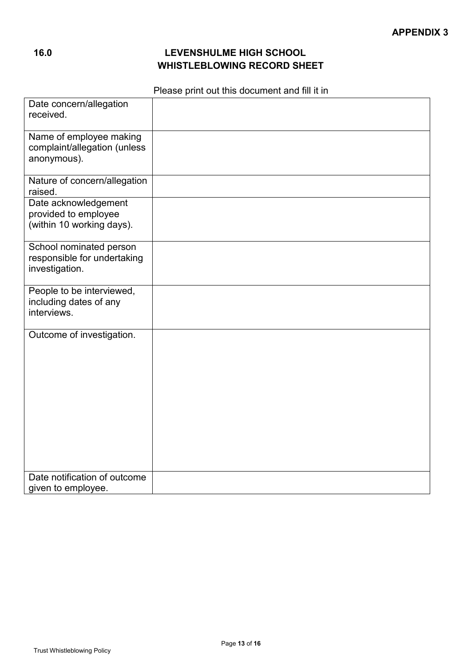## **16.0 LEVENSHULME HIGH SCHOOL WHISTLEBLOWING RECORD SHEET**

## Please print out this document and fill it in

| Date concern/allegation<br>received.                                      |  |
|---------------------------------------------------------------------------|--|
| Name of employee making<br>complaint/allegation (unless<br>anonymous).    |  |
| Nature of concern/allegation<br>raised.                                   |  |
| Date acknowledgement<br>provided to employee<br>(within 10 working days). |  |
| School nominated person<br>responsible for undertaking<br>investigation.  |  |
| People to be interviewed,<br>including dates of any<br>interviews.        |  |
| Outcome of investigation.                                                 |  |
| Date notification of outcome<br>given to employee.                        |  |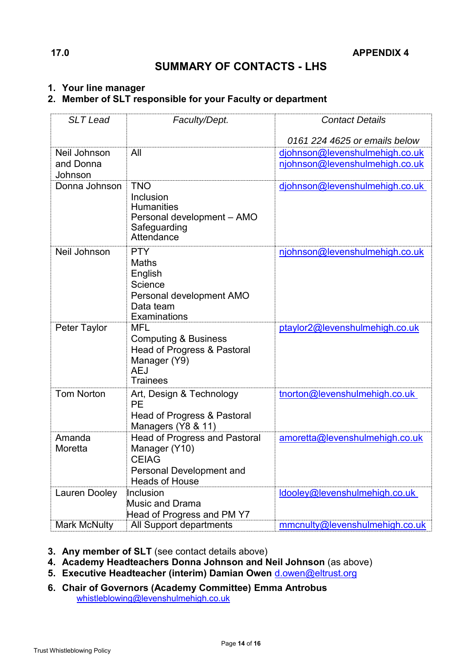## **SUMMARY OF CONTACTS - LHS**

#### **1. Your line manager**

## **2. Member of SLT responsible for your Faculty or department**

| <b>SLT Lead</b>      | Faculty/Dept.                                                                                                                     | <b>Contact Details</b>         |
|----------------------|-----------------------------------------------------------------------------------------------------------------------------------|--------------------------------|
|                      |                                                                                                                                   | 0161 224 4625 or emails below  |
| Neil Johnson         | All                                                                                                                               | djohnson@levenshulmehigh.co.uk |
| and Donna<br>Johnson |                                                                                                                                   | njohnson@levenshulmehigh.co.uk |
| Donna Johnson        | <b>TNO</b><br>Inclusion<br><b>Humanities</b><br>Personal development - AMO<br>Safeguarding<br>Attendance                          | djohnson@levenshulmehigh.co.uk |
| Neil Johnson         | <b>PTY</b><br><b>Maths</b><br>English<br>Science<br>Personal development AMO<br>Data team<br>Examinations                         | njohnson@levenshulmehigh.co.uk |
| Peter Taylor         | <b>MFL</b><br><b>Computing &amp; Business</b><br>Head of Progress & Pastoral<br>Manager (Y9)<br><b>AEJ</b><br><b>Trainees</b>     | ptaylor2@levenshulmehigh.co.uk |
| <b>Tom Norton</b>    | Art, Design & Technology<br>PE<br>Head of Progress & Pastoral<br>Managers (Y8 & 11)                                               | tnorton@levenshulmehigh.co.uk  |
| Amanda<br>Moretta    | <b>Head of Progress and Pastoral</b><br>Manager (Y10)<br><b>CEIAG</b><br><b>Personal Development and</b><br><b>Heads of House</b> | amoretta@levenshulmehigh.co.uk |
| Lauren Dooley        | Inclusion<br><b>Music and Drama</b><br>Head of Progress and PM Y7                                                                 | ldooley@levenshulmehigh.co.uk  |
| <b>Mark McNulty</b>  | All Support departments                                                                                                           | mmcnulty@levenshulmehigh.co.uk |

- **3. Any member of SLT** (see contact details above)
- **4. Academy Headteachers Donna Johnson and Neil Johnson** (as above)
- **5. Executive Headteacher (interim) Damian Owen** [d.owen@eltrust.org](mailto:d.owen@eltrust.org)
- **6. Chair of Governors (Academy Committee) Emma Antrobus** [whistleblowing@levenshulmehigh.co.uk](mailto:whistleblowing@levenshulmehigh.co.uk)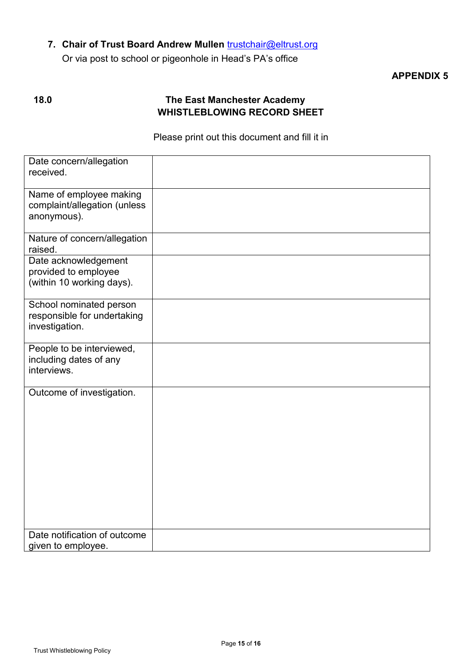## **7. Chair of Trust Board Andrew Mullen** [trustchair@eltrust.org](mailto:trustchair@eltrust.org)

Or via post to school or pigeonhole in Head's PA's office

## **APPENDIX 5**

## **18.0 The East Manchester Academy WHISTLEBLOWING RECORD SHEET**

#### Please print out this document and fill it in

| Date concern/allegation<br>received.                                      |  |
|---------------------------------------------------------------------------|--|
| Name of employee making<br>complaint/allegation (unless<br>anonymous).    |  |
| Nature of concern/allegation<br>raised.                                   |  |
| Date acknowledgement<br>provided to employee<br>(within 10 working days). |  |
| School nominated person<br>responsible for undertaking<br>investigation.  |  |
| People to be interviewed,<br>including dates of any<br>interviews.        |  |
| Outcome of investigation.                                                 |  |
| Date notification of outcome<br>given to employee.                        |  |